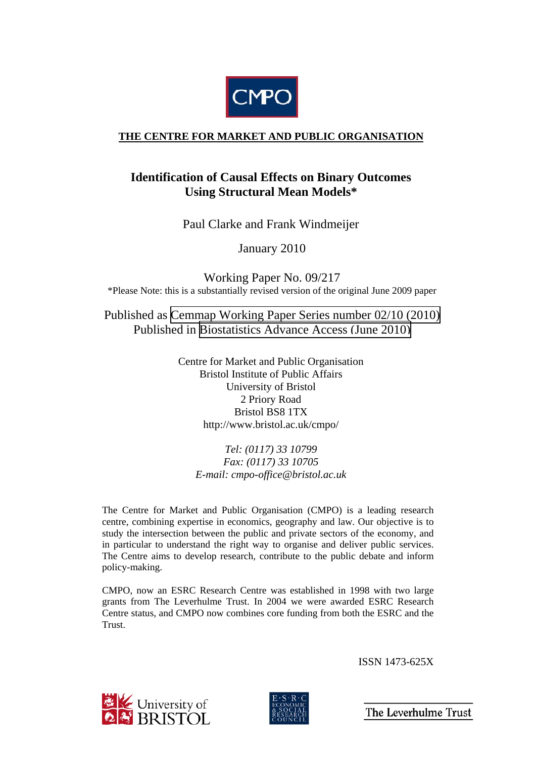

### **THE CENTRE FOR MARKET AND PUBLIC ORGANISATION**

## **Identification of Causal Effects on Binary Outcomes Using Structural Mean Models\***

Paul Clarke and Frank Windmeijer

January 2010

Working Paper No. 09/217 \*Please Note: this is a substantially revised version of the original June 2009 paper

Published as [Cemmap Working Paper Series number 02/10 \(2010\)](http://www.cemmap.ac.uk/publications.php?publication_id=4781)  Published in [Biostatistics Advance Access](http://biostatistics.oxfordjournals.org/content/early/2010/06/03/biostatistics.kxq024.abstract?maxtoshow=&hits=10&RESULTFORMAT=&fulltext=Identification+of+Causal+Effects+on+Binary+Outcomes+Using+Structural+Mean+Models&searchid=1&FIRSTINDEX=0&resourcetype=HWCIT) (June 2010)

> Centre for Market and Public Organisation Bristol Institute of Public Affairs University of Bristol 2 Priory Road Bristol BS8 1TX http://www.bristol.ac.uk/cmpo/

*Tel: (0117) 33 10799 Fax: (0117) 33 10705 E-mail: cmpo-office@bristol.ac.uk* 

The Centre for Market and Public Organisation (CMPO) is a leading research centre, combining expertise in economics, geography and law. Our objective is to study the intersection between the public and private sectors of the economy, and in particular to understand the right way to organise and deliver public services. The Centre aims to develop research, contribute to the public debate and inform policy-making.

CMPO, now an ESRC Research Centre was established in 1998 with two large grants from The Leverhulme Trust. In 2004 we were awarded ESRC Research Centre status, and CMPO now combines core funding from both the ESRC and the Trust.

ISSN 1473-625X





The Leverhulme Trust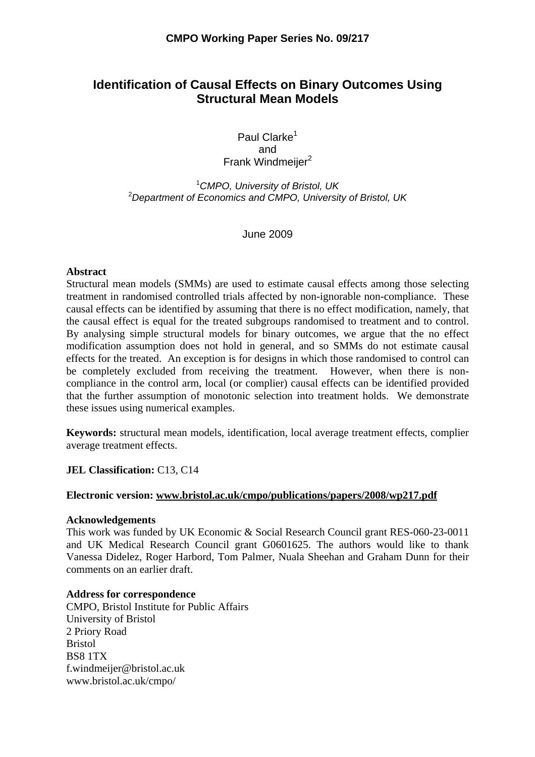### **Identification of Causal Effects on Binary Outcomes Using Structural Mean Models**

Paul Clarke<sup>1</sup> and Frank Windmeijer<sup>2</sup>

1 *CMPO, University of Bristol, UK*  2 *Department of Economics and CMPO, University of Bristol, UK*

June 2009

#### **Abstract**

Structural mean models (SMMs) are used to estimate causal effects among those selecting treatment in randomised controlled trials affected by non-ignorable non-compliance. These causal effects can be identified by assuming that there is no effect modification, namely, that the causal effect is equal for the treated subgroups randomised to treatment and to control. By analysing simple structural models for binary outcomes, we argue that the no effect modification assumption does not hold in general, and so SMMs do not estimate causal effects for the treated. An exception is for designs in which those randomised to control can be completely excluded from receiving the treatment. However, when there is noncompliance in the control arm, local (or complier) causal effects can be identified provided that the further assumption of monotonic selection into treatment holds. We demonstrate these issues using numerical examples.

**Keywords:** structural mean models, identification, local average treatment effects, complier average treatment effects.

**JEL Classification:** C13, C14

#### **Electronic version: www.bristol.ac.uk/cmpo/publications/papers/2008/wp217.pdf**

#### **Acknowledgements**

This work was funded by UK Economic & Social Research Council grant RES-060-23-0011 and UK Medical Research Council grant G0601625. The authors would like to thank Vanessa Didelez, Roger Harbord, Tom Palmer, Nuala Sheehan and Graham Dunn for their comments on an earlier draft.

#### **Address for correspondence**

CMPO, Bristol Institute for Public Affairs University of Bristol 2 Priory Road Bristol BS8 1TX f.windmeijer@bristol.ac.uk www.bristol.ac.uk/cmpo/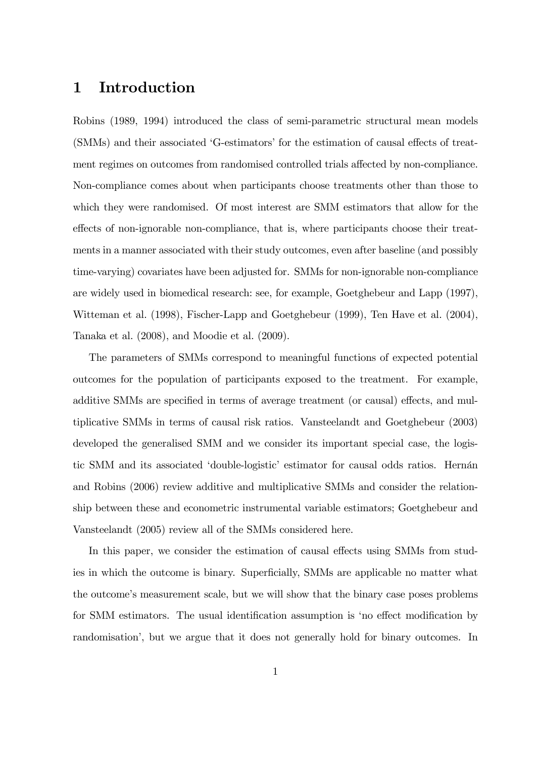# 1 Introduction

Robins (1989, 1994) introduced the class of semi-parametric structural mean models (SMMs) and their associated 'G-estimators' for the estimation of causal effects of treatment regimes on outcomes from randomised controlled trials affected by non-compliance. Non-compliance comes about when participants choose treatments other than those to which they were randomised. Of most interest are SMM estimators that allow for the effects of non-ignorable non-compliance, that is, where participants choose their treatments in a manner associated with their study outcomes, even after baseline (and possibly time-varying) covariates have been adjusted for. SMMs for non-ignorable non-compliance are widely used in biomedical research: see, for example, Goetghebeur and Lapp (1997), Witteman et al. (1998), Fischer-Lapp and Goetghebeur (1999), Ten Have et al. (2004), Tanaka et al. (2008), and Moodie et al. (2009).

The parameters of SMMs correspond to meaningful functions of expected potential outcomes for the population of participants exposed to the treatment. For example, additive SMMs are specified in terms of average treatment (or causal) effects, and multiplicative SMMs in terms of causal risk ratios. Vansteelandt and Goetghebeur (2003) developed the generalised SMM and we consider its important special case, the logistic SMM and its associated 'double-logistic' estimator for causal odds ratios. Hernán and Robins (2006) review additive and multiplicative SMMs and consider the relationship between these and econometric instrumental variable estimators; Goetghebeur and Vansteelandt (2005) review all of the SMMs considered here.

In this paper, we consider the estimation of causal effects using SMMs from studies in which the outcome is binary. Superficially, SMMs are applicable no matter what the outcome's measurement scale, but we will show that the binary case poses problems for SMM estimators. The usual identification assumption is 'no effect modification by randomisation<sup>'</sup>, but we argue that it does not generally hold for binary outcomes. In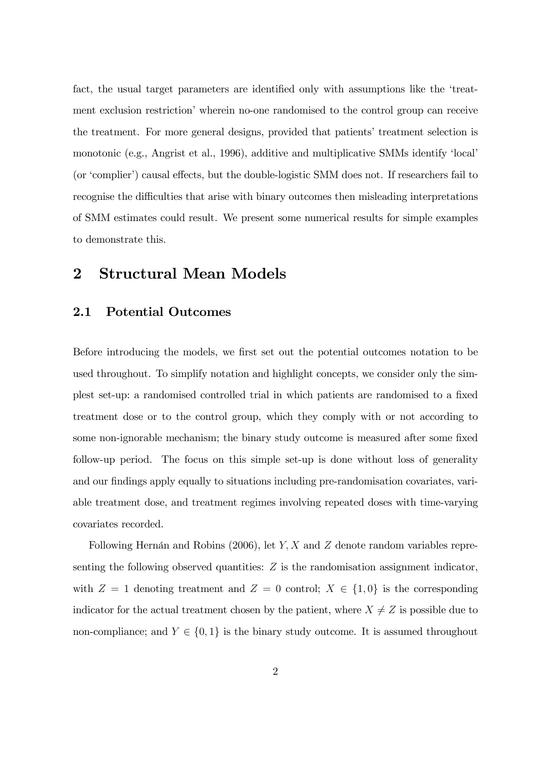fact, the usual target parameters are identified only with assumptions like the 'treatment exclusion restriction' wherein no-one randomised to the control group can receive the treatment. For more general designs, provided that patients' treatment selection is monotonic (e.g., Angrist et al., 1996), additive and multiplicative SMMs identify 'local' (or 'complier') causal effects, but the double-logistic SMM does not. If researchers fail to recognise the difficulties that arise with binary outcomes then misleading interpretations of SMM estimates could result. We present some numerical results for simple examples to demonstrate this.

## 2 Structural Mean Models

### 2.1 Potential Outcomes

Before introducing the models, we first set out the potential outcomes notation to be used throughout. To simplify notation and highlight concepts, we consider only the simplest set-up: a randomised controlled trial in which patients are randomised to a fixed treatment dose or to the control group, which they comply with or not according to some non-ignorable mechanism; the binary study outcome is measured after some fixed follow-up period. The focus on this simple set-up is done without loss of generality and our findings apply equally to situations including pre-randomisation covariates, variable treatment dose, and treatment regimes involving repeated doses with time-varying covariates recorded.

Following Hernán and Robins (2006), let  $Y, X$  and  $Z$  denote random variables representing the following observed quantities:  $Z$  is the randomisation assignment indicator, with  $Z = 1$  denoting treatment and  $Z = 0$  control;  $X \in \{1, 0\}$  is the corresponding indicator for the actual treatment chosen by the patient, where  $X \neq Z$  is possible due to non-compliance; and  $Y \in \{0, 1\}$  is the binary study outcome. It is assumed throughout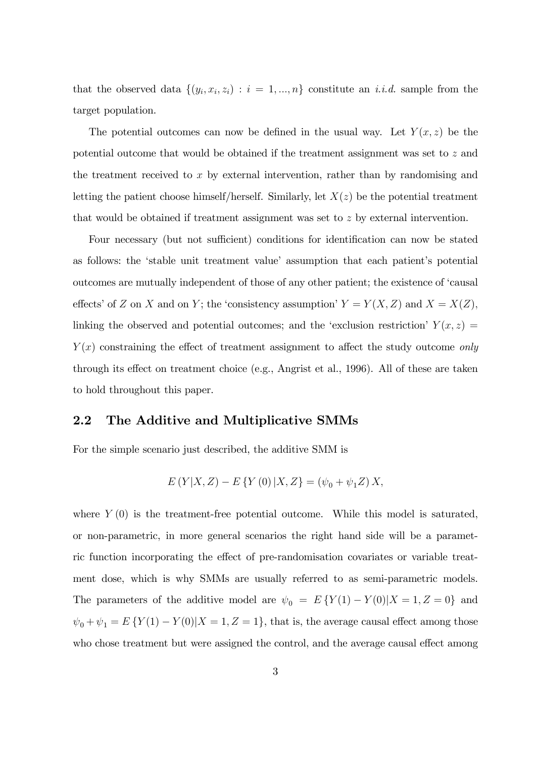that the observed data  $\{(y_i, x_i, z_i) : i = 1, ..., n\}$  constitute an *i.i.d.* sample from the target population.

The potential outcomes can now be defined in the usual way. Let  $Y(x, z)$  be the potential outcome that would be obtained if the treatment assignment was set to z and the treatment received to  $x$  by external intervention, rather than by randomising and letting the patient choose himself/herself. Similarly, let  $X(z)$  be the potential treatment that would be obtained if treatment assignment was set to z by external intervention.

Four necessary (but not sufficient) conditions for identification can now be stated as follows: the 'stable unit treatment value' assumption that each patient's potential outcomes are mutually independent of those of any other patient; the existence of ëcausal effects' of Z on X and on Y; the 'consistency assumption'  $Y = Y(X, Z)$  and  $X = X(Z)$ , linking the observed and potential outcomes; and the 'exclusion restriction'  $Y(x, z) =$  $Y(x)$  constraining the effect of treatment assignment to affect the study outcome only through its effect on treatment choice (e.g., Angrist et al., 1996). All of these are taken to hold throughout this paper.

### 2.2 The Additive and Multiplicative SMMs

For the simple scenario just described, the additive SMM is

$$
E(Y|X,Z) - E\{Y(0)|X,Z\} = (\psi_0 + \psi_1 Z) X,
$$

where  $Y(0)$  is the treatment-free potential outcome. While this model is saturated, or non-parametric, in more general scenarios the right hand side will be a parametric function incorporating the effect of pre-randomisation covariates or variable treatment dose, which is why SMMs are usually referred to as semi-parametric models. The parameters of the additive model are  $\psi_0 = E\{Y(1) - Y(0)|X = 1, Z = 0\}$  and  $\psi_0 + \psi_1 = E \{ Y(1) - Y(0) | X = 1, Z = 1 \},$  that is, the average causal effect among those who chose treatment but were assigned the control, and the average causal effect among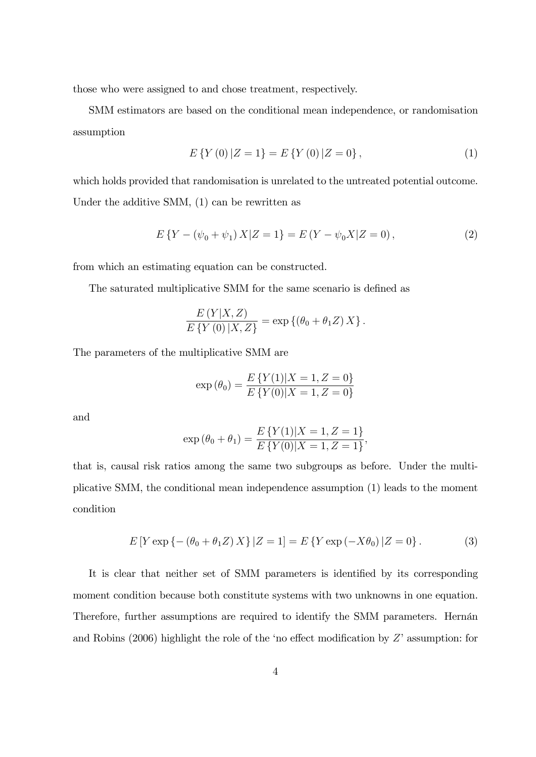those who were assigned to and chose treatment, respectively.

SMM estimators are based on the conditional mean independence, or randomisation assumption

$$
E\left\{Y\left(0\right)|Z=1\right\}=E\left\{Y\left(0\right)|Z=0\right\},\tag{1}
$$

which holds provided that randomisation is unrelated to the untreated potential outcome. Under the additive SMM, (1) can be rewritten as

$$
E\left\{Y - (\psi_0 + \psi_1)X|Z = 1\right\} = E\left(Y - \psi_0 X|Z = 0\right),\tag{2}
$$

from which an estimating equation can be constructed.

The saturated multiplicative SMM for the same scenario is defined as

$$
\frac{E(Y|X,Z)}{E\{Y(0)|X,Z\}} = \exp \{(\theta_0 + \theta_1 Z) X\}.
$$

The parameters of the multiplicative SMM are

$$
\exp(\theta_0) = \frac{E\{Y(1)|X=1, Z=0\}}{E\{Y(0)|X=1, Z=0\}}
$$

and

$$
\exp(\theta_0 + \theta_1) = \frac{E\{Y(1)|X = 1, Z = 1\}}{E\{Y(0)|X = 1, Z = 1\}},
$$

that is, causal risk ratios among the same two subgroups as before. Under the multiplicative SMM, the conditional mean independence assumption (1) leads to the moment condition

$$
E[Y \exp\{- (\theta_0 + \theta_1 Z) X\} | Z = 1] = E\{Y \exp(-X\theta_0) | Z = 0\}.
$$
 (3)

It is clear that neither set of SMM parameters is identified by its corresponding moment condition because both constitute systems with two unknowns in one equation. Therefore, further assumptions are required to identify the SMM parameters. Hernán and Robins (2006) highlight the role of the 'no effect modification by  $Z'$  assumption: for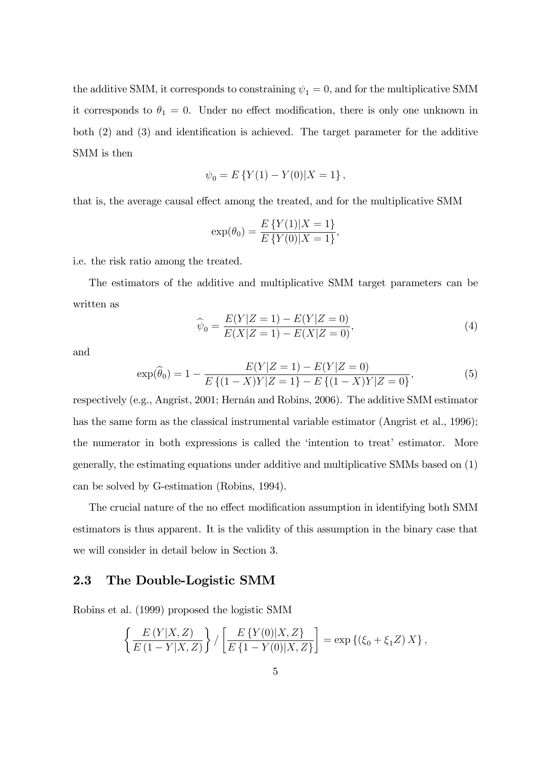the additive SMM, it corresponds to constraining  $\psi_1 = 0$ , and for the multiplicative SMM it corresponds to  $\theta_1 = 0$ . Under no effect modification, there is only one unknown in both  $(2)$  and  $(3)$  and identification is achieved. The target parameter for the additive SMM is then

$$
\psi_0 = E\left\{Y(1) - Y(0)|X = 1\right\},\,
$$

that is, the average causal effect among the treated, and for the multiplicative SMM

$$
\exp(\theta_0) = \frac{E\{Y(1)|X=1\}}{E\{Y(0)|X=1\}},
$$

i.e. the risk ratio among the treated.

The estimators of the additive and multiplicative SMM target parameters can be written as

$$
\widehat{\psi}_0 = \frac{E(Y|Z=1) - E(Y|Z=0)}{E(X|Z=1) - E(X|Z=0)},\tag{4}
$$

and

$$
\exp(\widehat{\theta}_0) = 1 - \frac{E(Y|Z=1) - E(Y|Z=0)}{E\left\{(1-X)Y|Z=1\right\} - E\left\{(1-X)Y|Z=0\right\}},\tag{5}
$$

respectively (e.g., Angrist, 2001; Hernán and Robins, 2006). The additive SMM estimator has the same form as the classical instrumental variable estimator (Angrist et al., 1996); the numerator in both expressions is called the 'intention to treat' estimator. More generally, the estimating equations under additive and multiplicative SMMs based on (1) can be solved by G-estimation (Robins, 1994).

The crucial nature of the no effect modification assumption in identifying both SMM estimators is thus apparent. It is the validity of this assumption in the binary case that we will consider in detail below in Section 3.

### 2.3 The Double-Logistic SMM

Robins et al. (1999) proposed the logistic SMM

$$
\left\{ \frac{E(Y|X,Z)}{E(1-Y|X,Z)} \right\} / \left[ \frac{E\left\{Y(0)|X,Z\right\}}{E\left\{1-Y(0)|X,Z\right\}} \right] = \exp \left\{ \left(\xi_0 + \xi_1 Z\right) X \right\},\,
$$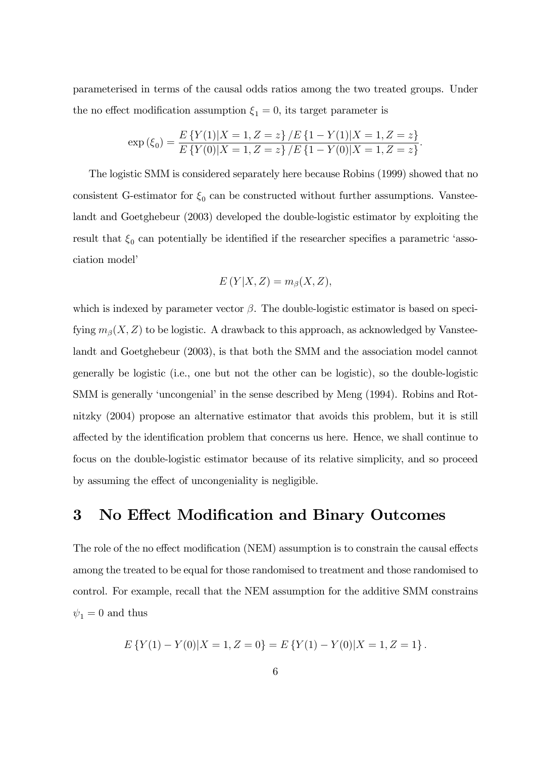parameterised in terms of the causal odds ratios among the two treated groups. Under the no effect modification assumption  $\xi_1 = 0$ , its target parameter is

$$
\exp\left(\xi_0\right) = \frac{E\left\{Y(1)|X=1,Z=z\right\}/E\left\{1-Y(1)|X=1,Z=z\right\}}{E\left\{Y(0)|X=1,Z=z\right\}/E\left\{1-Y(0)|X=1,Z=z\right\}}.
$$

The logistic SMM is considered separately here because Robins (1999) showed that no consistent G-estimator for  $\xi_0$  can be constructed without further assumptions. Vansteelandt and Goetghebeur (2003) developed the double-logistic estimator by exploiting the result that  $\xi_0$  can potentially be identified if the researcher specifies a parametric 'association model'

$$
E(Y|X,Z) = m_{\beta}(X,Z),
$$

which is indexed by parameter vector  $\beta$ . The double-logistic estimator is based on specifying  $m_\beta(X, Z)$  to be logistic. A drawback to this approach, as acknowledged by Vansteelandt and Goetghebeur (2003), is that both the SMM and the association model cannot generally be logistic (i.e., one but not the other can be logistic), so the double-logistic SMM is generally 'uncongenial' in the sense described by Meng (1994). Robins and Rotnitzky (2004) propose an alternative estimator that avoids this problem, but it is still affected by the identification problem that concerns us here. Hence, we shall continue to focus on the double-logistic estimator because of its relative simplicity, and so proceed by assuming the effect of uncongeniality is negligible.

# 3 No Effect Modification and Binary Outcomes

The role of the no effect modification (NEM) assumption is to constrain the causal effects among the treated to be equal for those randomised to treatment and those randomised to control. For example, recall that the NEM assumption for the additive SMM constrains  $\psi_1=0$  and thus

$$
E\left\{Y(1) - Y(0)|X = 1, Z = 0\right\} = E\left\{Y(1) - Y(0)|X = 1, Z = 1\right\}.
$$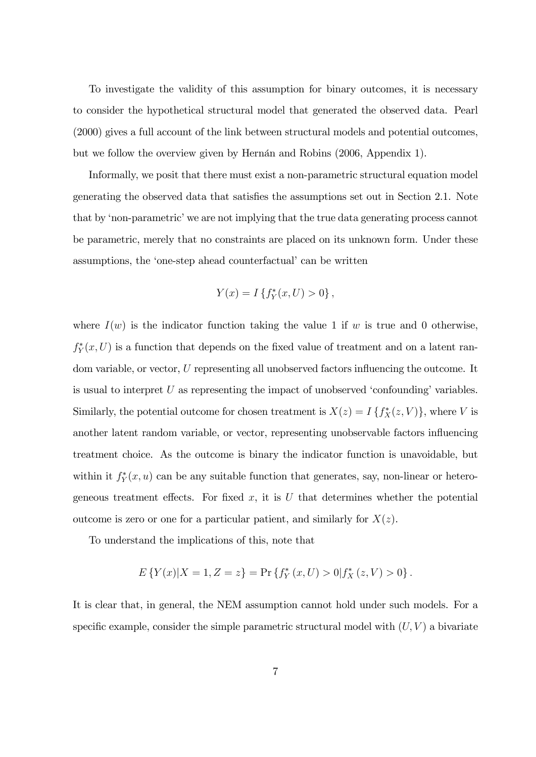To investigate the validity of this assumption for binary outcomes, it is necessary to consider the hypothetical structural model that generated the observed data. Pearl (2000) gives a full account of the link between structural models and potential outcomes, but we follow the overview given by Hernán and Robins (2006, Appendix 1).

Informally, we posit that there must exist a non-parametric structural equation model generating the observed data that satisfies the assumptions set out in Section 2.1. Note that by 'non-parametric' we are not implying that the true data generating process cannot be parametric, merely that no constraints are placed on its unknown form. Under these assumptions, the 'one-step ahead counterfactual' can be written

$$
Y(x) = I\left\{f_Y^*(x, U) > 0\right\},\,
$$

where  $I(w)$  is the indicator function taking the value 1 if w is true and 0 otherwise,  $f_Y^*(x,U)$  is a function that depends on the fixed value of treatment and on a latent random variable, or vector,  $U$  representing all unobserved factors influencing the outcome. It is usual to interpret  $U$  as representing the impact of unobserved 'confounding' variables. Similarly, the potential outcome for chosen treatment is  $X(z) = I\{f_X^*(z, V)\}\,$ , where V is another latent random variable, or vector, representing unobservable factors ináuencing treatment choice. As the outcome is binary the indicator function is unavoidable, but within it  $f_Y^*(x, u)$  can be any suitable function that generates, say, non-linear or heterogeneous treatment effects. For fixed  $x$ , it is  $U$  that determines whether the potential outcome is zero or one for a particular patient, and similarly for  $X(z)$ .

To understand the implications of this, note that

$$
E\left\{Y(x)|X=1, Z=z\right\} = \Pr\left\{f_Y^*(x, U) > 0 | f_X^*(z, V) > 0\right\}.
$$

It is clear that, in general, the NEM assumption cannot hold under such models. For a specific example, consider the simple parametric structural model with  $(U, V)$  a bivariate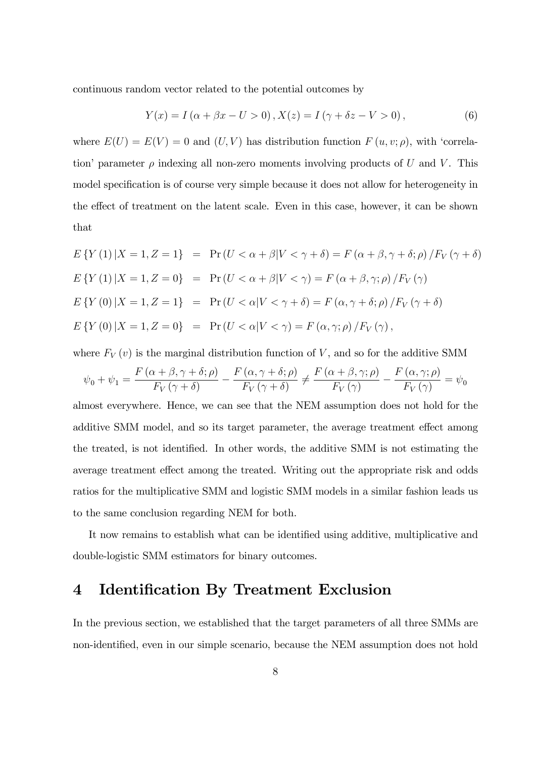continuous random vector related to the potential outcomes by

$$
Y(x) = I(\alpha + \beta x - U > 0), X(z) = I(\gamma + \delta z - V > 0),
$$
\n(6)

where  $E(U) = E(V) = 0$  and  $(U, V)$  has distribution function  $F(u, v; \rho)$ , with 'correlation' parameter  $\rho$  indexing all non-zero moments involving products of U and V. This model specification is of course very simple because it does not allow for heterogeneity in the effect of treatment on the latent scale. Even in this case, however, it can be shown that

$$
E\{Y(1) | X = 1, Z = 1\} = \Pr(U < \alpha + \beta | V < \gamma + \delta) = F(\alpha + \beta, \gamma + \delta; \rho) / F_V(\gamma + \delta)
$$
\n
$$
E\{Y(1) | X = 1, Z = 0\} = \Pr(U < \alpha + \beta | V < \gamma) = F(\alpha + \beta, \gamma; \rho) / F_V(\gamma)
$$
\n
$$
E\{Y(0) | X = 1, Z = 1\} = \Pr(U < \alpha | V < \gamma + \delta) = F(\alpha, \gamma + \delta; \rho) / F_V(\gamma + \delta)
$$
\n
$$
E\{Y(0) | X = 1, Z = 0\} = \Pr(U < \alpha | V < \gamma) = F(\alpha, \gamma; \rho) / F_V(\gamma),
$$

where  $F_V(v)$  is the marginal distribution function of V, and so for the additive SMM

$$
\psi_0 + \psi_1 = \frac{F(\alpha + \beta, \gamma + \delta; \rho)}{F_V(\gamma + \delta)} - \frac{F(\alpha, \gamma + \delta; \rho)}{F_V(\gamma + \delta)} \neq \frac{F(\alpha + \beta, \gamma; \rho)}{F_V(\gamma)} - \frac{F(\alpha, \gamma; \rho)}{F_V(\gamma)} = \psi_0
$$

almost everywhere. Hence, we can see that the NEM assumption does not hold for the additive SMM model, and so its target parameter, the average treatment effect among the treated, is not identified. In other words, the additive SMM is not estimating the average treatment effect among the treated. Writing out the appropriate risk and odds ratios for the multiplicative SMM and logistic SMM models in a similar fashion leads us to the same conclusion regarding NEM for both.

It now remains to establish what can be identified using additive, multiplicative and double-logistic SMM estimators for binary outcomes.

### 4 Identification By Treatment Exclusion

In the previous section, we established that the target parameters of all three SMMs are non-identified, even in our simple scenario, because the NEM assumption does not hold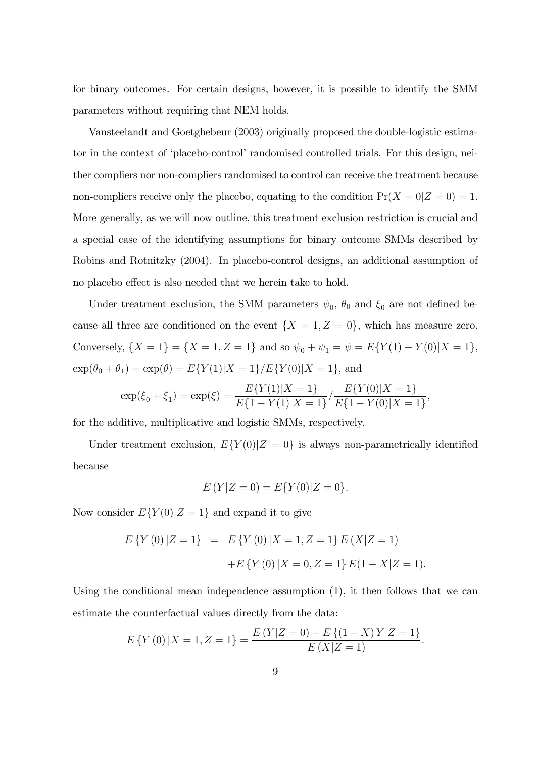for binary outcomes. For certain designs, however, it is possible to identify the SMM parameters without requiring that NEM holds.

Vansteelandt and Goetghebeur (2003) originally proposed the double-logistic estimator in the context of 'placebo-control' randomised controlled trials. For this design, neither compliers nor non-compliers randomised to control can receive the treatment because non-compliers receive only the placebo, equating to the condition  $Pr(X = 0|Z = 0) = 1$ . More generally, as we will now outline, this treatment exclusion restriction is crucial and a special case of the identifying assumptions for binary outcome SMMs described by Robins and Rotnitzky (2004). In placebo-control designs, an additional assumption of no placebo effect is also needed that we herein take to hold.

Under treatment exclusion, the SMM parameters  $\psi_0$ ,  $\theta_0$  and  $\xi_0$  are not defined because all three are conditioned on the event  $\{X = 1, Z = 0\}$ , which has measure zero. Conversely,  $\{X = 1\} = \{X = 1, Z = 1\}$  and so  $\psi_0 + \psi_1 = \psi = E\{Y(1) - Y(0)|X = 1\},\$  $\exp(\theta_0 + \theta_1) = \exp(\theta) = E\{Y(1)|X=1\}/E\{Y(0)|X=1\}$ , and

$$
\exp(\xi_0 + \xi_1) = \exp(\xi) = \frac{E\{Y(1)|X=1\}}{E\{1-Y(1)|X=1\}} / \frac{E\{Y(0)|X=1\}}{E\{1-Y(0)|X=1\}},
$$

for the additive, multiplicative and logistic SMMs, respectively.

Under treatment exclusion,  $E\{Y(0)|Z=0\}$  is always non-parametrically identified because

$$
E(Y|Z=0) = E\{Y(0)|Z=0\}.
$$

Now consider  $E\{Y(0)|Z=1\}$  and expand it to give

$$
E\{Y(0) | Z = 1\} = E\{Y(0) | X = 1, Z = 1\} E(X|Z = 1)
$$

$$
+ E\{Y(0) | X = 0, Z = 1\} E(1 - X|Z = 1).
$$

Using the conditional mean independence assumption (1), it then follows that we can estimate the counterfactual values directly from the data:

$$
E\left\{Y\left(0\right)|X=1,Z=1\right\} = \frac{E\left(Y|Z=0\right) - E\left\{(1-X)Y|Z=1\right\}}{E\left(X|Z=1\right)}.
$$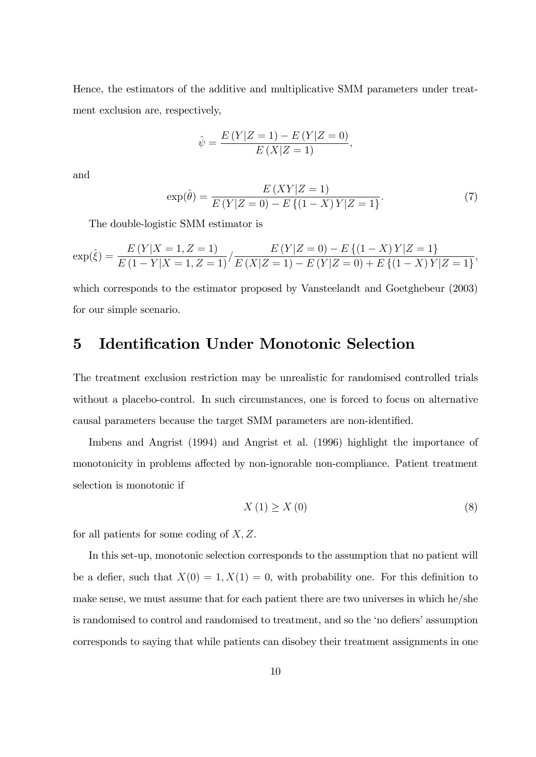Hence, the estimators of the additive and multiplicative SMM parameters under treatment exclusion are, respectively,

$$
\hat{\psi} = \frac{E(Y|Z=1) - E(Y|Z=0)}{E(X|Z=1)},
$$

and

$$
\exp(\hat{\theta}) = \frac{E(XY|Z=1)}{E(Y|Z=0) - E\{(1-X)Y|Z=1\}}.\tag{7}
$$

The double-logistic SMM estimator is

$$
\exp(\hat{\xi}) = \frac{E(Y|X=1, Z=1)}{E(1-Y|X=1, Z=1)} / \frac{E(Y|Z=0) - E\{(1-X)Y|Z=1\}}{E(X|Z=1) - E(Y|Z=0) + E\{(1-X)Y|Z=1\}},
$$

which corresponds to the estimator proposed by Vansteelandt and Goetghebeur (2003) for our simple scenario.

## 5 Identification Under Monotonic Selection

The treatment exclusion restriction may be unrealistic for randomised controlled trials without a placebo-control. In such circumstances, one is forced to focus on alternative causal parameters because the target SMM parameters are non-identified.

Imbens and Angrist (1994) and Angrist et al. (1996) highlight the importance of monotonicity in problems affected by non-ignorable non-compliance. Patient treatment selection is monotonic if

$$
X\left(1\right) \geq X\left(0\right) \tag{8}
$$

for all patients for some coding of  $X, Z$ .

In this set-up, monotonic selection corresponds to the assumption that no patient will be a defier, such that  $X(0) = 1, X(1) = 0$ , with probability one. For this definition to make sense, we must assume that for each patient there are two universes in which he/she is randomised to control and randomised to treatment, and so the 'no defiers' assumption corresponds to saying that while patients can disobey their treatment assignments in one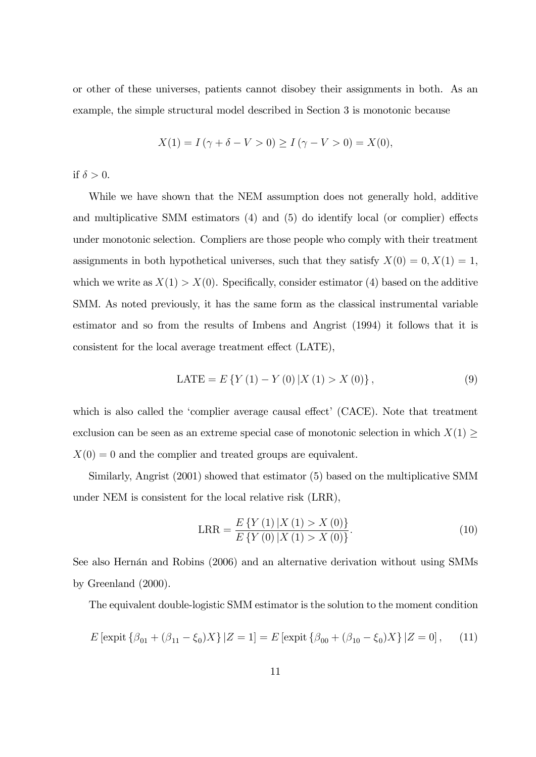or other of these universes, patients cannot disobey their assignments in both. As an example, the simple structural model described in Section 3 is monotonic because

$$
X(1) = I(\gamma + \delta - V > 0) \ge I(\gamma - V > 0) = X(0),
$$

if  $\delta > 0$ .

While we have shown that the NEM assumption does not generally hold, additive and multiplicative SMM estimators  $(4)$  and  $(5)$  do identify local (or complier) effects under monotonic selection. Compliers are those people who comply with their treatment assignments in both hypothetical universes, such that they satisfy  $X(0) = 0, X(1) = 1$ , which we write as  $X(1) > X(0)$ . Specifically, consider estimator (4) based on the additive SMM. As noted previously, it has the same form as the classical instrumental variable estimator and so from the results of Imbens and Angrist (1994) it follows that it is consistent for the local average treatment effect (LATE),

$$
LATE = E \{ Y(1) - Y(0) | X(1) > X(0) \},
$$
\n(9)

which is also called the 'complier average causal effect' (CACE). Note that treatment exclusion can be seen as an extreme special case of monotonic selection in which  $X(1) \geq$  $X(0) = 0$  and the complier and treated groups are equivalent.

Similarly, Angrist (2001) showed that estimator (5) based on the multiplicative SMM under NEM is consistent for the local relative risk (LRR),

$$
LRR = \frac{E\{Y(1)|X(1) > X(0)\}}{E\{Y(0)|X(1) > X(0)\}}.
$$
\n(10)

See also Hernán and Robins (2006) and an alternative derivation without using SMMs by Greenland (2000).

The equivalent double-logistic SMM estimator is the solution to the moment condition

$$
E\left[\text{expit}\left\{\beta_{01} + (\beta_{11} - \xi_0)X\right\}|Z = 1\right] = E\left[\text{expit}\left\{\beta_{00} + (\beta_{10} - \xi_0)X\right\}|Z = 0\right],\tag{11}
$$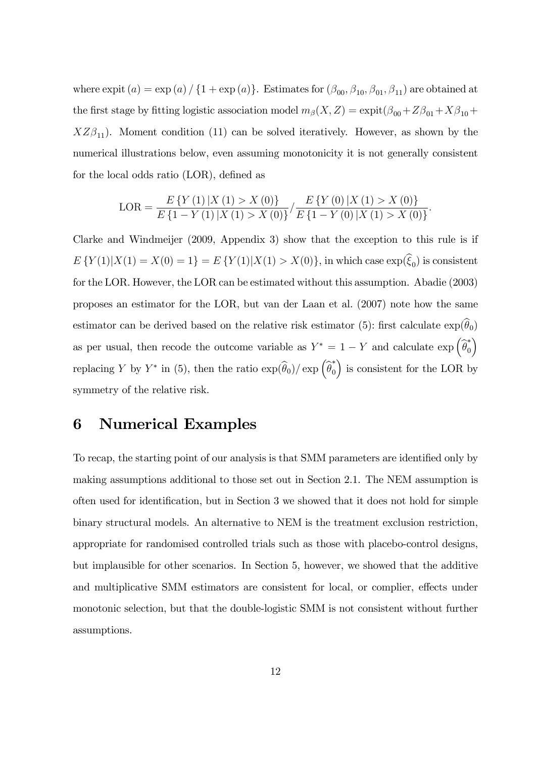where expit  $(a) = \exp(a) / \{1 + \exp(a)\}\$ . Estimates for  $(\beta_{00}, \beta_{10}, \beta_{01}, \beta_{11})$  are obtained at the first stage by fitting logistic association model  $m_{\beta}(X, Z) = \expit(\beta_{00} + Z\beta_{01} + X\beta_{10} + Z\beta_{01} + Y\beta_{01})$  $XZ\beta_{11}$ ). Moment condition (11) can be solved iteratively. However, as shown by the numerical illustrations below, even assuming monotonicity it is not generally consistent for the local odds ratio  $(LOR)$ , defined as

$$
LOR = \frac{E\left\{Y\left(1\right)|X\left(1\right) > X\left(0\right)\right\}}{E\left\{1 - Y\left(1\right)|X\left(1\right) > X\left(0\right)\right\}} / \frac{E\left\{Y\left(0\right)|X\left(1\right) > X\left(0\right)\right\}}{E\left\{1 - Y\left(0\right)|X\left(1\right) > X\left(0\right)\right\}}.
$$

Clarke and Windmeijer (2009, Appendix 3) show that the exception to this rule is if  $E\{Y(1)|X(1) = X(0) = 1\} = E\{Y(1)|X(1) > X(0)\}\$ , in which case  $\exp(\xi_0)$  is consistent for the LOR. However, the LOR can be estimated without this assumption. Abadie (2003) proposes an estimator for the LOR, but van der Laan et al. (2007) note how the same estimator can be derived based on the relative risk estimator (5): first calculate  $\exp(\theta_0)$ as per usual, then recode the outcome variable as  $Y^* = 1 - Y$  and calculate  $\exp\left(\widehat{\theta}_0^*\right)$ 0  $\lambda$ replacing Y by  $Y^*$  in (5), then the ratio  $\exp(\widehat{\theta}_0)/\exp\left(\widehat{\theta}_0^*\right)$  $\mathbf 0$ ) is consistent for the LOR by symmetry of the relative risk.

### 6 Numerical Examples

To recap, the starting point of our analysis is that SMM parameters are identified only by making assumptions additional to those set out in Section 2.1. The NEM assumption is often used for identification, but in Section 3 we showed that it does not hold for simple binary structural models. An alternative to NEM is the treatment exclusion restriction, appropriate for randomised controlled trials such as those with placebo-control designs, but implausible for other scenarios. In Section 5, however, we showed that the additive and multiplicative SMM estimators are consistent for local, or complier, effects under monotonic selection, but that the double-logistic SMM is not consistent without further assumptions.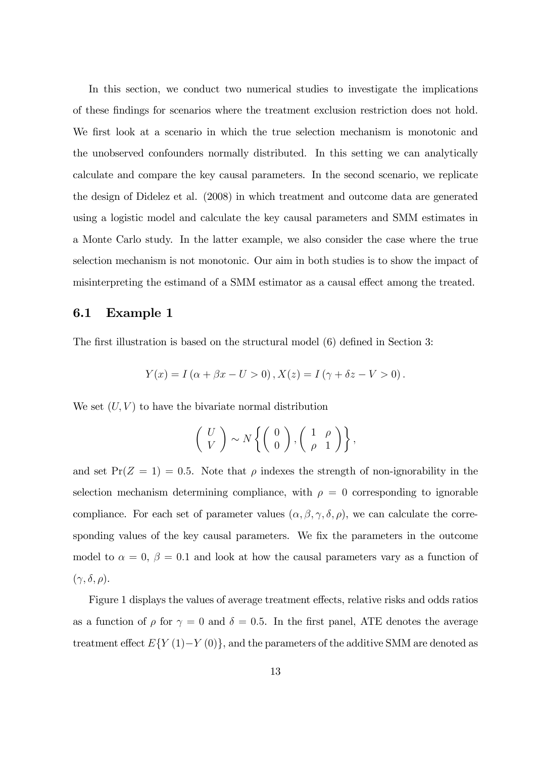In this section, we conduct two numerical studies to investigate the implications of these Öndings for scenarios where the treatment exclusion restriction does not hold. We first look at a scenario in which the true selection mechanism is monotonic and the unobserved confounders normally distributed. In this setting we can analytically calculate and compare the key causal parameters. In the second scenario, we replicate the design of Didelez et al. (2008) in which treatment and outcome data are generated using a logistic model and calculate the key causal parameters and SMM estimates in a Monte Carlo study. In the latter example, we also consider the case where the true selection mechanism is not monotonic. Our aim in both studies is to show the impact of misinterpreting the estimand of a SMM estimator as a causal effect among the treated.

### 6.1 Example 1

The first illustration is based on the structural model (6) defined in Section 3:

$$
Y(x) = I(\alpha + \beta x - U > 0), X(z) = I(\gamma + \delta z - V > 0).
$$

We set  $(U, V)$  to have the bivariate normal distribution

$$
\left(\begin{array}{c} U \\ V \end{array}\right) \sim N \left\{ \left(\begin{array}{c} 0 \\ 0 \end{array}\right), \left(\begin{array}{cc} 1 & \rho \\ \rho & 1 \end{array}\right) \right\},\
$$

and set  $Pr(Z = 1) = 0.5$ . Note that  $\rho$  indexes the strength of non-ignorability in the selection mechanism determining compliance, with  $\rho = 0$  corresponding to ignorable compliance. For each set of parameter values  $(\alpha, \beta, \gamma, \delta, \rho)$ , we can calculate the corresponding values of the key causal parameters. We fix the parameters in the outcome model to  $\alpha = 0$ ,  $\beta = 0.1$  and look at how the causal parameters vary as a function of  $(\gamma, \delta, \rho).$ 

Figure 1 displays the values of average treatment effects, relative risks and odds ratios as a function of  $\rho$  for  $\gamma = 0$  and  $\delta = 0.5$ . In the first panel, ATE denotes the average treatment effect  $E\{Y(1)-Y(0)\}\$ , and the parameters of the additive SMM are denoted as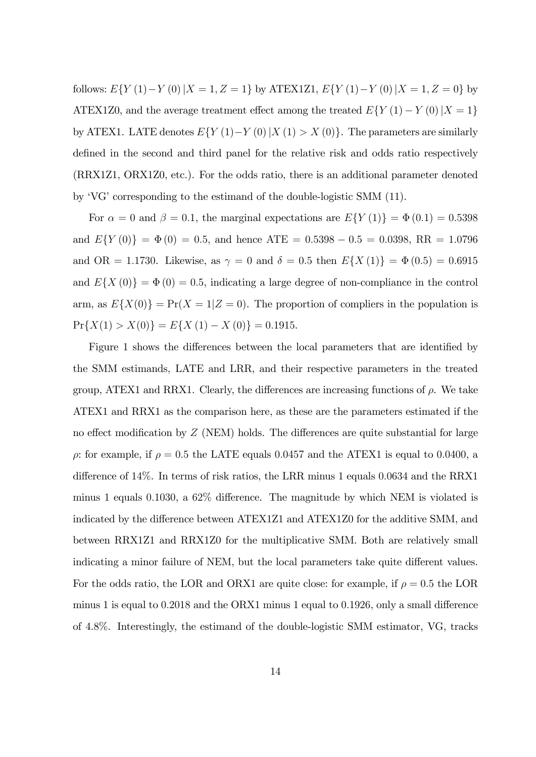follows:  $E\{Y(1)-Y(0)|X=1,Z=1\}$  by ATEX1Z1,  $E\{Y(1)-Y(0)|X=1,Z=0\}$  by ATEX1Z0, and the average treatment effect among the treated  $E(Y(1) - Y(0) | X = 1$ by ATEX1. LATE denotes  $E\{Y(1)-Y(0)|X(1)>X(0)\}\$ . The parameters are similarly defined in the second and third panel for the relative risk and odds ratio respectively (RRX1Z1, ORX1Z0, etc.). For the odds ratio, there is an additional parameter denoted by  $V\ G$  corresponding to the estimand of the double-logistic SMM (11).

For  $\alpha = 0$  and  $\beta = 0.1$ , the marginal expectations are  $E\{Y(1)\} = \Phi(0.1) = 0.5398$ and  $E\{Y(0)\} = \Phi(0) = 0.5$ , and hence ATE = 0.5398 - 0.5 = 0.0398, RR = 1.0796 and OR = 1.1730. Likewise, as  $\gamma = 0$  and  $\delta = 0.5$  then  $E\{X(1)\} = \Phi(0.5) = 0.6915$ and  $E{X(0)} = \Phi(0) = 0.5$ , indicating a large degree of non-compliance in the control arm, as  $E\{X(0)\} = \Pr(X = 1|Z = 0)$ . The proportion of compliers in the population is  $Pr{X(1) > X(0)} = E{X(1) - X(0)} = 0.1915.$ 

Figure 1 shows the differences between the local parameters that are identified by the SMM estimands, LATE and LRR, and their respective parameters in the treated group, ATEX1 and RRX1. Clearly, the differences are increasing functions of  $\rho$ . We take ATEX1 and RRX1 as the comparison here, as these are the parameters estimated if the no effect modification by  $Z$  (NEM) holds. The differences are quite substantial for large  $\rho$ : for example, if  $\rho = 0.5$  the LATE equals 0.0457 and the ATEX1 is equal to 0.0400, a difference of  $14\%$ . In terms of risk ratios, the LRR minus 1 equals 0.0634 and the RRX1 minus 1 equals 0.1030, a  $62\%$  difference. The magnitude by which NEM is violated is indicated by the difference between ATEX1Z1 and ATEX1Z0 for the additive SMM, and between RRX1Z1 and RRX1Z0 for the multiplicative SMM. Both are relatively small indicating a minor failure of NEM, but the local parameters take quite different values. For the odds ratio, the LOR and ORX1 are quite close: for example, if  $\rho = 0.5$  the LOR minus 1 is equal to  $0.2018$  and the ORX1 minus 1 equal to  $0.1926$ , only a small difference of 4.8%. Interestingly, the estimand of the double-logistic SMM estimator, VG, tracks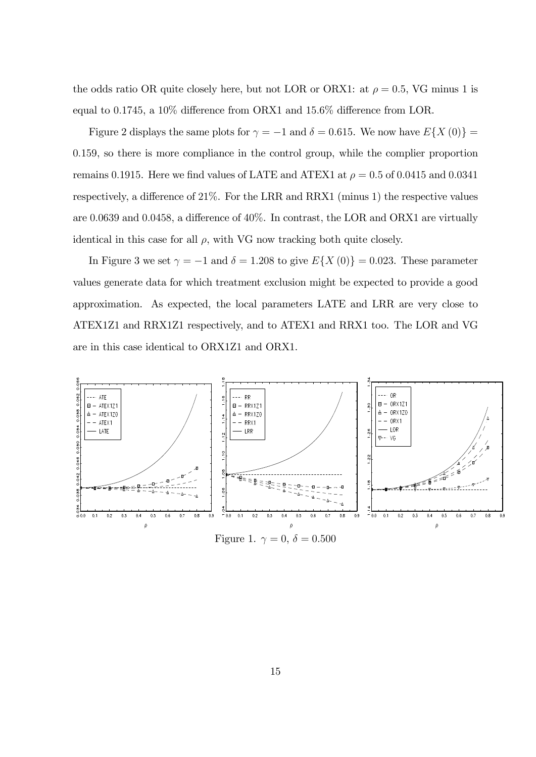the odds ratio OR quite closely here, but not LOR or ORX1: at  $\rho = 0.5$ , VG minus 1 is equal to 0.1745, a  $10\%$  difference from ORX1 and  $15.6\%$  difference from LOR.

Figure 2 displays the same plots for  $\gamma = -1$  and  $\delta = 0.615$ . We now have  $E\{X(0)\}$ 0:159, so there is more compliance in the control group, while the complier proportion remains 0.1915. Here we find values of LATE and ATEX1 at  $\rho = 0.5$  of 0.0415 and 0.0341 respectively, a difference of  $21\%$ . For the LRR and RRX1 (minus 1) the respective values are 0.0639 and 0.0458, a difference of  $40\%$ . In contrast, the LOR and ORX1 are virtually identical in this case for all  $\rho$ , with VG now tracking both quite closely.

In Figure 3 we set  $\gamma = -1$  and  $\delta = 1.208$  to give  $E\{X(0)\} = 0.023$ . These parameter values generate data for which treatment exclusion might be expected to provide a good approximation. As expected, the local parameters LATE and LRR are very close to ATEX1Z1 and RRX1Z1 respectively, and to ATEX1 and RRX1 too. The LOR and VG are in this case identical to ORX1Z1 and ORX1.



Figure 1.  $\gamma = 0, \delta = 0.500$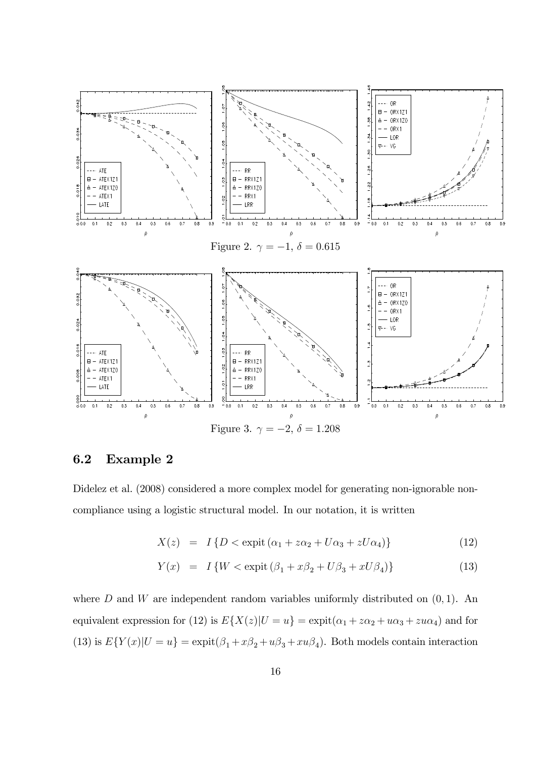

### 6.2 Example 2

Didelez et al.  $(2008)$  considered a more complex model for generating non-ignorable noncompliance using a logistic structural model. In our notation, it is written

$$
X(z) = I\{D < \text{expit}(\alpha_1 + z\alpha_2 + U\alpha_3 + zU\alpha_4)\}\tag{12}
$$

$$
Y(x) = I\{W < \text{expit}\left(\beta_1 + x\beta_2 + U\beta_3 + xU\beta_4\right)\}\tag{13}
$$

where  $D$  and  $W$  are independent random variables uniformly distributed on  $(0, 1)$ . An equivalent expression for (12) is  $E\{X(z)|U=u\} = \text{expit}(\alpha_1 + z\alpha_2 + u\alpha_3 + zu\alpha_4)$  and for (13) is  $E\{Y(x)|U=u\} = \exp\mathrm{i}t(\beta_1 + x\beta_2 + u\beta_3 + xu\beta_4)$ . Both models contain interaction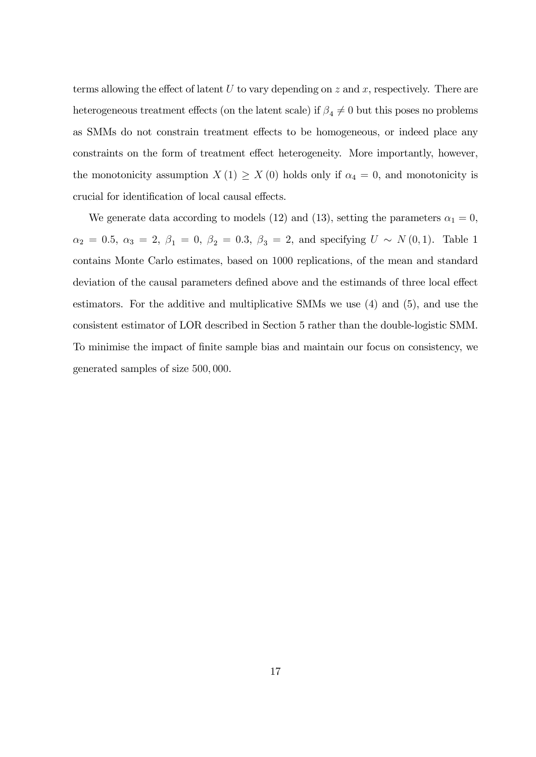terms allowing the effect of latent  $U$  to vary depending on  $z$  and  $x$ , respectively. There are heterogeneous treatment effects (on the latent scale) if  $\beta_4 \neq 0$  but this poses no problems as SMMs do not constrain treatment effects to be homogeneous, or indeed place any constraints on the form of treatment effect heterogeneity. More importantly, however, the monotonicity assumption  $X(1) \geq X(0)$  holds only if  $\alpha_4 = 0$ , and monotonicity is crucial for identification of local causal effects.

We generate data according to models (12) and (13), setting the parameters  $\alpha_1 = 0$ ,  $\alpha_2 = 0.5, \ \alpha_3 = 2, \ \beta_1 = 0, \ \beta_2 = 0.3, \ \beta_3 = 2, \text{ and specifying } U \sim N(0, 1).$  Table 1 contains Monte Carlo estimates, based on 1000 replications, of the mean and standard deviation of the causal parameters defined above and the estimands of three local effect estimators. For the additive and multiplicative SMMs we use (4) and (5), and use the consistent estimator of LOR described in Section 5 rather than the double-logistic SMM. To minimise the impact of Önite sample bias and maintain our focus on consistency, we generated samples of size 500; 000.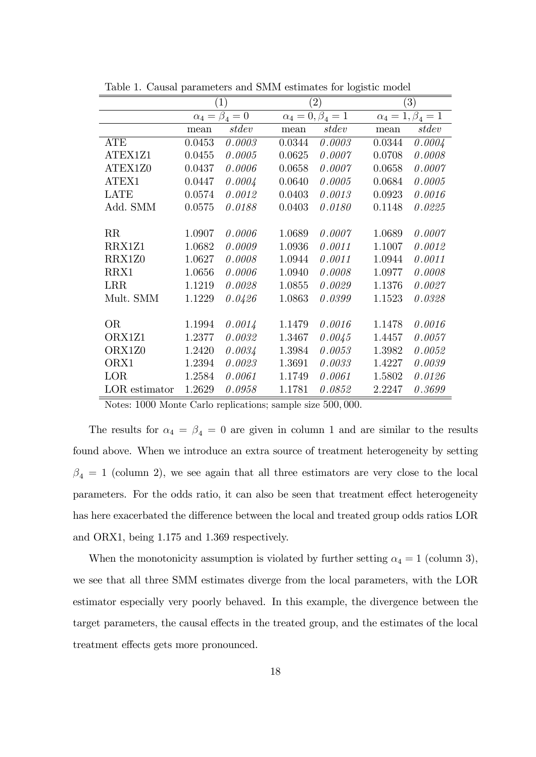|               | $\left( 1\right)$        |        | $\left( 2\right)$           |        |                             | $\left( 3\right)$ |  |
|---------------|--------------------------|--------|-----------------------------|--------|-----------------------------|-------------------|--|
|               | $\alpha_4 = \beta_4 = 0$ |        | $\alpha_4 = 0, \beta_4 = 1$ |        | $\alpha_4 = 1, \beta_4 = 1$ |                   |  |
|               | mean                     | stdev  | mean                        | stdev  | mean                        | stdev             |  |
| <b>ATE</b>    | 0.0453                   | 0.0003 | 0.0344                      | 0.0003 | 0.0344                      | 0.0004            |  |
| ATEX1Z1       | 0.0455                   | 0.0005 | 0.0625                      | 0.0007 | 0.0708                      | 0.0008            |  |
| ATEX1Z0       | 0.0437                   | 0.0006 | 0.0658                      | 0.0007 | 0.0658                      | 0.0007            |  |
| ATEX1         | 0.0447                   | 0.0004 | 0.0640                      | 0.0005 | 0.0684                      | 0.0005            |  |
| <b>LATE</b>   | 0.0574                   | 0.0012 | 0.0403                      | 0.0013 | 0.0923                      | 0.0016            |  |
| Add. SMM      | 0.0575                   | 0.0188 | 0.0403                      | 0.0180 | 0.1148                      | 0.0225            |  |
|               |                          |        |                             |        |                             |                   |  |
| RR            | 1.0907                   | 0.0006 | 1.0689                      | 0.0007 | 1.0689                      | 0.0007            |  |
| RRX1Z1        | 1.0682                   | 0.0009 | 1.0936                      | 0.0011 | 1.1007                      | 0.0012            |  |
| RRX1Z0        | 1.0627                   | 0.0008 | 1.0944                      | 0.0011 | 1.0944                      | 0.0011            |  |
| RRX1          | 1.0656                   | 0.0006 | 1.0940                      | 0.0008 | 1.0977                      | 0.0008            |  |
| <b>LRR</b>    | 1.1219                   | 0.0028 | 1.0855                      | 0.0029 | 1.1376                      | 0.0027            |  |
| Mult. SMM     | 1.1229                   | 0.0426 | 1.0863                      | 0.0399 | 1.1523                      | 0.0328            |  |
|               |                          |        |                             |        |                             |                   |  |
| <b>OR</b>     | 1.1994                   | 0.0014 | 1.1479                      | 0.0016 | 1.1478                      | 0.0016            |  |
| ORX1Z1        | 1.2377                   | 0.0032 | 1.3467                      | 0.0045 | 1.4457                      | 0.0057            |  |
| ORX1Z0        | 1.2420                   | 0.0034 | 1.3984                      | 0.0053 | 1.3982                      | 0.0052            |  |
| ORX1          | 1.2394                   | 0.0023 | 1.3691                      | 0.0033 | 1.4227                      | 0.0039            |  |
| LOR           | 1.2584                   | 0.0061 | 1.1749                      | 0.0061 | 1.5802                      | 0.0126            |  |
| LOR estimator | 1.2629                   | 0.0958 | 1.1781                      | 0.0852 | 2.2247                      | 0.3699            |  |

Table 1. Causal parameters and SMM estimates for logistic model

Notes: 1000 Monte Carlo replications; sample size 500; 000.

The results for  $\alpha_4 = \beta_4 = 0$  are given in column 1 and are similar to the results found above. When we introduce an extra source of treatment heterogeneity by setting  $\beta_4 = 1$  (column 2), we see again that all three estimators are very close to the local parameters. For the odds ratio, it can also be seen that treatment effect heterogeneity has here exacerbated the difference between the local and treated group odds ratios LOR and ORX1, being 1.175 and 1.369 respectively.

When the monotonicity assumption is violated by further setting  $\alpha_4 = 1$  (column 3), we see that all three SMM estimates diverge from the local parameters, with the LOR estimator especially very poorly behaved. In this example, the divergence between the target parameters, the causal effects in the treated group, and the estimates of the local treatment effects gets more pronounced.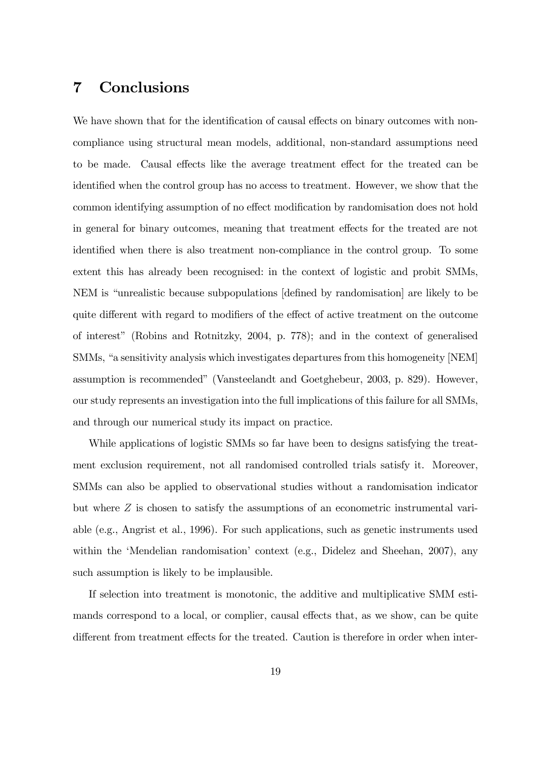# 7 Conclusions

We have shown that for the identification of causal effects on binary outcomes with noncompliance using structural mean models, additional, non-standard assumptions need to be made. Causal effects like the average treatment effect for the treated can be identified when the control group has no access to treatment. However, we show that the common identifying assumption of no effect modification by randomisation does not hold in general for binary outcomes, meaning that treatment effects for the treated are not identified when there is also treatment non-compliance in the control group. To some extent this has already been recognised: in the context of logistic and probit SMMs, NEM is "unrealistic because subpopulations [defined by randomisation] are likely to be quite different with regard to modifiers of the effect of active treatment on the outcome of interestî (Robins and Rotnitzky, 2004, p. 778); and in the context of generalised SMMs, "a sensitivity analysis which investigates departures from this homogeneity [NEM] assumption is recommendedî (Vansteelandt and Goetghebeur, 2003, p. 829). However, our study represents an investigation into the full implications of this failure for all SMMs, and through our numerical study its impact on practice.

While applications of logistic SMMs so far have been to designs satisfying the treatment exclusion requirement, not all randomised controlled trials satisfy it. Moreover, SMMs can also be applied to observational studies without a randomisation indicator but where Z is chosen to satisfy the assumptions of an econometric instrumental variable (e.g., Angrist et al., 1996). For such applications, such as genetic instruments used within the 'Mendelian randomisation' context (e.g., Didelez and Sheehan, 2007), any such assumption is likely to be implausible.

If selection into treatment is monotonic, the additive and multiplicative SMM estimands correspond to a local, or complier, causal effects that, as we show, can be quite different from treatment effects for the treated. Caution is therefore in order when inter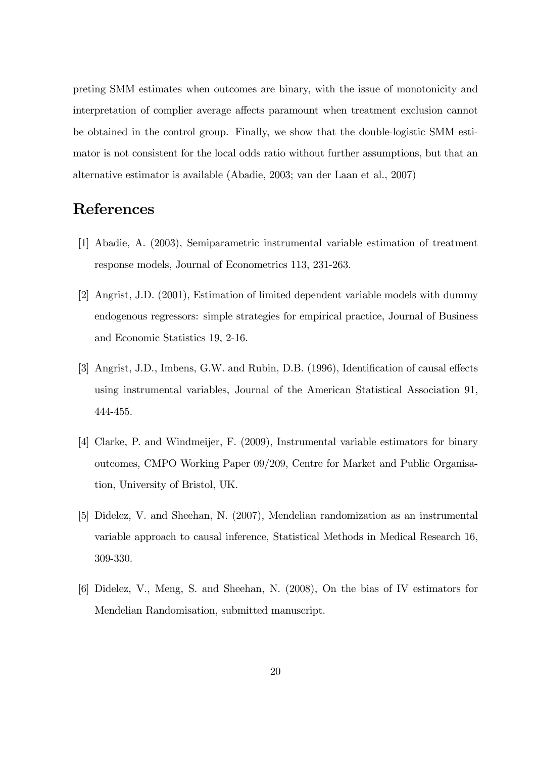preting SMM estimates when outcomes are binary, with the issue of monotonicity and interpretation of complier average affects paramount when treatment exclusion cannot be obtained in the control group. Finally, we show that the double-logistic SMM estimator is not consistent for the local odds ratio without further assumptions, but that an alternative estimator is available (Abadie, 2003; van der Laan et al., 2007)

# References

- [1] Abadie, A. (2003), Semiparametric instrumental variable estimation of treatment response models, Journal of Econometrics 113, 231-263.
- [2] Angrist, J.D. (2001), Estimation of limited dependent variable models with dummy endogenous regressors: simple strategies for empirical practice, Journal of Business and Economic Statistics 19, 2-16.
- [3] Angrist, J.D., Imbens, G.W. and Rubin, D.B. (1996), Identification of causal effects using instrumental variables, Journal of the American Statistical Association 91, 444-455.
- [4] Clarke, P. and Windmeijer, F. (2009), Instrumental variable estimators for binary outcomes, CMPO Working Paper 09/209, Centre for Market and Public Organisation, University of Bristol, UK.
- [5] Didelez, V. and Sheehan, N. (2007), Mendelian randomization as an instrumental variable approach to causal inference, Statistical Methods in Medical Research 16, 309-330.
- [6] Didelez, V., Meng, S. and Sheehan, N. (2008), On the bias of IV estimators for Mendelian Randomisation, submitted manuscript.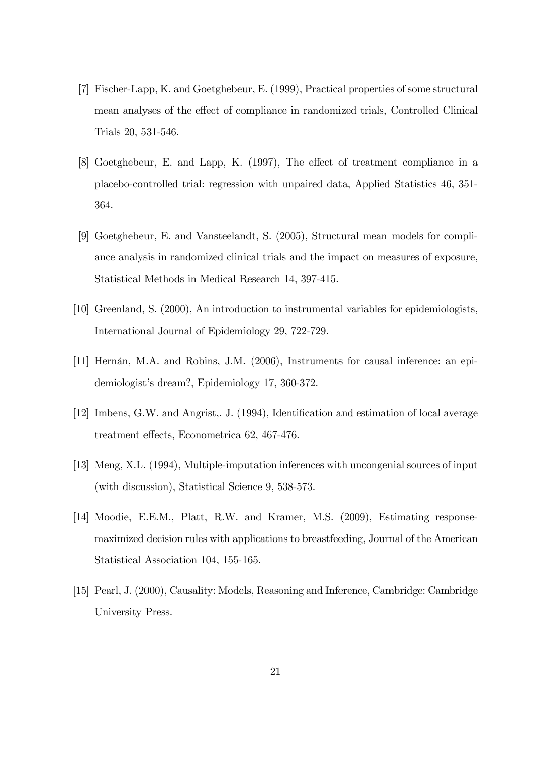- [7] Fischer-Lapp, K. and Goetghebeur, E. (1999), Practical properties of some structural mean analyses of the effect of compliance in randomized trials, Controlled Clinical Trials 20, 531-546.
- [8] Goetghebeur, E. and Lapp, K. (1997), The effect of treatment compliance in a placebo-controlled trial: regression with unpaired data, Applied Statistics 46, 351- 364.
- [9] Goetghebeur, E. and Vansteelandt, S. (2005), Structural mean models for compliance analysis in randomized clinical trials and the impact on measures of exposure, Statistical Methods in Medical Research 14, 397-415.
- [10] Greenland, S. (2000), An introduction to instrumental variables for epidemiologists, International Journal of Epidemiology 29, 722-729.
- [11] Hernán, M.A. and Robins, J.M. (2006), Instruments for causal inference: an epidemiologist's dream?, Epidemiology 17, 360-372.
- [12] Imbens, G.W. and Angrist,. J. (1994), Identification and estimation of local average treatment effects, Econometrica 62, 467-476.
- [13] Meng, X.L. (1994), Multiple-imputation inferences with uncongenial sources of input (with discussion), Statistical Science 9, 538-573.
- [14] Moodie, E.E.M., Platt, R.W. and Kramer, M.S. (2009), Estimating responsemaximized decision rules with applications to breastfeeding, Journal of the American Statistical Association 104, 155-165.
- [15] Pearl, J. (2000), Causality: Models, Reasoning and Inference, Cambridge: Cambridge University Press.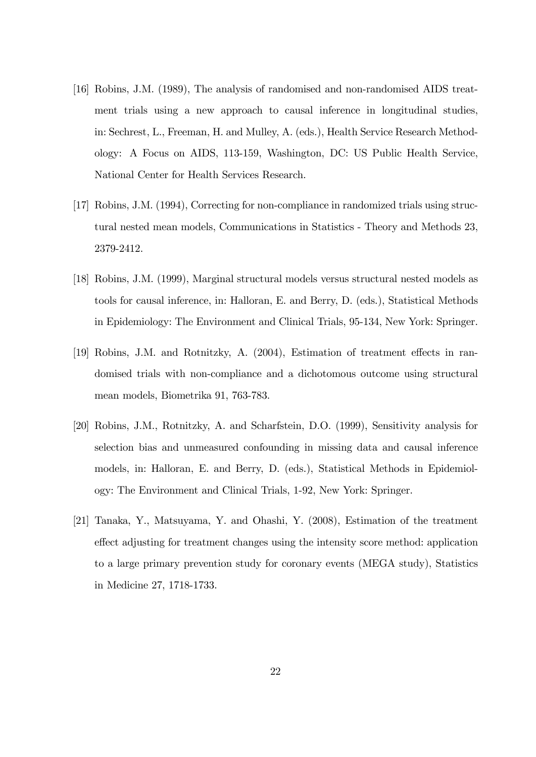- [16] Robins, J.M. (1989), The analysis of randomised and non-randomised AIDS treatment trials using a new approach to causal inference in longitudinal studies, in: Sechrest, L., Freeman, H. and Mulley, A. (eds.), Health Service Research Methodology: A Focus on AIDS, 113-159, Washington, DC: US Public Health Service, National Center for Health Services Research.
- [17] Robins, J.M. (1994), Correcting for non-compliance in randomized trials using structural nested mean models, Communications in Statistics - Theory and Methods 23, 2379-2412.
- [18] Robins, J.M. (1999), Marginal structural models versus structural nested models as tools for causal inference, in: Halloran, E. and Berry, D. (eds.), Statistical Methods in Epidemiology: The Environment and Clinical Trials, 95-134, New York: Springer.
- [19] Robins, J.M. and Rotnitzky, A. (2004), Estimation of treatment effects in randomised trials with non-compliance and a dichotomous outcome using structural mean models, Biometrika 91, 763-783.
- [20] Robins, J.M., Rotnitzky, A. and Scharfstein, D.O. (1999), Sensitivity analysis for selection bias and unmeasured confounding in missing data and causal inference models, in: Halloran, E. and Berry, D. (eds.), Statistical Methods in Epidemiology: The Environment and Clinical Trials, 1-92, New York: Springer.
- [21] Tanaka, Y., Matsuyama, Y. and Ohashi, Y. (2008), Estimation of the treatment effect adjusting for treatment changes using the intensity score method: application to a large primary prevention study for coronary events (MEGA study), Statistics in Medicine 27, 1718-1733.